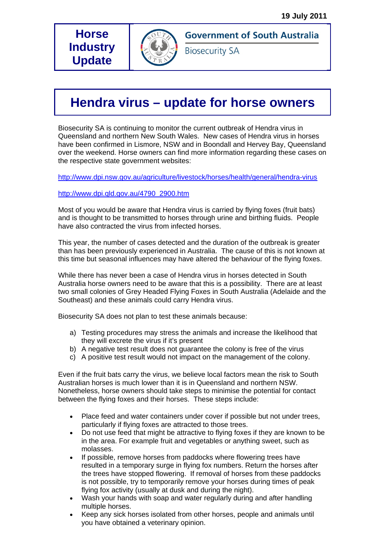## **Horse Industry Update**



**Government of South Australia** 

**Biosecurity SA** 

## **Hendra virus – update for horse owners**

Biosecurity SA is continuing to monitor the current outbreak of Hendra virus in Queensland and northern New South Wales. New cases of Hendra virus in horses have been confirmed in Lismore, NSW and in Boondall and Hervey Bay, Queensland over the weekend. Horse owners can find more information regarding these cases on the respective state government websites:

http://www.dpi.nsw.gov.au/agriculture/livestock/horses/health/general/hendra-virus

## http://www.dpi.qld.gov.au/4790\_2900.htm

Most of you would be aware that Hendra virus is carried by flying foxes (fruit bats) and is thought to be transmitted to horses through urine and birthing fluids. People have also contracted the virus from infected horses.

This year, the number of cases detected and the duration of the outbreak is greater than has been previously experienced in Australia. The cause of this is not known at this time but seasonal influences may have altered the behaviour of the flying foxes.

While there has never been a case of Hendra virus in horses detected in South Australia horse owners need to be aware that this is a possibility. There are at least two small colonies of Grey Headed Flying Foxes in South Australia (Adelaide and the Southeast) and these animals could carry Hendra virus.

Biosecurity SA does not plan to test these animals because:

- a) Testing procedures may stress the animals and increase the likelihood that they will excrete the virus if it's present
- b) A negative test result does not guarantee the colony is free of the virus
- c) A positive test result would not impact on the management of the colony.

Even if the fruit bats carry the virus, we believe local factors mean the risk to South Australian horses is much lower than it is in Queensland and northern NSW. Nonetheless, horse owners should take steps to minimise the potential for contact between the flying foxes and their horses. These steps include:

- Place feed and water containers under cover if possible but not under trees, particularly if flying foxes are attracted to those trees.
- Do not use feed that might be attractive to flying foxes if they are known to be in the area. For example fruit and vegetables or anything sweet, such as molasses.
- If possible, remove horses from paddocks where flowering trees have resulted in a temporary surge in flying fox numbers. Return the horses after the trees have stopped flowering. If removal of horses from these paddocks is not possible, try to temporarily remove your horses during times of peak flying fox activity (usually at dusk and during the night).
- Wash your hands with soap and water regularly during and after handling multiple horses.
- Keep any sick horses isolated from other horses, people and animals until you have obtained a veterinary opinion.